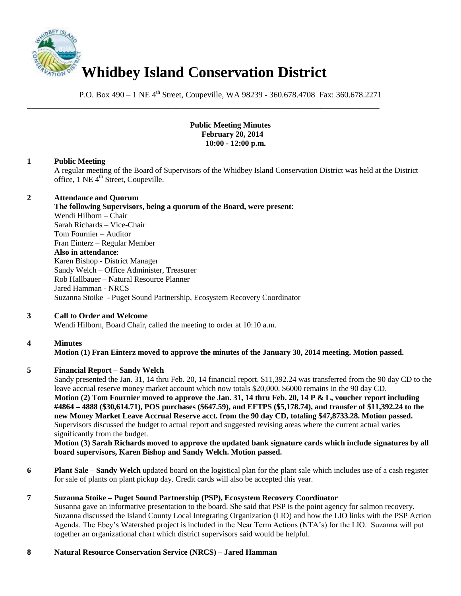

P.O. Box 490 – 1 NE 4<sup>th</sup> Street, Coupeville, WA 98239 - 360.678.4708 Fax: 360.678.2271

\_\_\_\_\_\_\_\_\_\_\_\_\_\_\_\_\_\_\_\_\_\_\_\_\_\_\_\_\_\_\_\_\_\_\_\_\_\_\_\_\_\_\_\_\_\_\_\_\_\_\_\_\_\_\_\_\_\_\_\_\_\_\_\_\_\_\_\_\_\_\_\_\_\_\_\_\_\_

#### **Public Meeting Minutes February 20, 2014 10:00 - 12:00 p.m.**

## **1 Public Meeting**

A regular meeting of the Board of Supervisors of the Whidbey Island Conservation District was held at the District office, 1 NE 4<sup>th</sup> Street, Coupeville.

#### **2 Attendance and Quorum**

**The following Supervisors, being a quorum of the Board, were present**: Wendi Hilborn – Chair Sarah Richards – Vice-Chair Tom Fournier – Auditor Fran Einterz – Regular Member **Also in attendance**: Karen Bishop - District Manager Sandy Welch – Office Administer, Treasurer Rob Hallbauer – Natural Resource Planner Jared Hamman - NRCS Suzanna Stoike - Puget Sound Partnership, Ecosystem Recovery Coordinator

## **3 Call to Order and Welcome**

Wendi Hilborn, Board Chair, called the meeting to order at 10:10 a.m.

## **4 Minutes**

# **Motion (1) Fran Einterz moved to approve the minutes of the January 30, 2014 meeting. Motion passed.**

## **5 Financial Report – Sandy Welch**

Sandy presented the Jan. 31, 14 thru Feb. 20, 14 financial report. \$11,392.24 was transferred from the 90 day CD to the leave accrual reserve money market account which now totals \$20,000. \$6000 remains in the 90 day CD. **Motion (2) Tom Fournier moved to approve the Jan. 31, 14 thru Feb. 20, 14 P & L, voucher report including #4864 – 4888 (\$30,614.71), POS purchases (\$647.59), and EFTPS (\$5,178.74), and transfer of \$11,392.24 to the new Money Market Leave Accrual Reserve acct. from the 90 day CD, totaling \$47,8733.28. Motion passed.**  Supervisors discussed the budget to actual report and suggested revising areas where the current actual varies significantly from the budget.

**Motion (3) Sarah Richards moved to approve the updated bank signature cards which include signatures by all board supervisors, Karen Bishop and Sandy Welch. Motion passed.** 

**6 Plant Sale – Sandy Welch** updated board on the logistical plan for the plant sale which includes use of a cash register for sale of plants on plant pickup day. Credit cards will also be accepted this year.

## **7 Suzanna Stoike – Puget Sound Partnership (PSP), Ecosystem Recovery Coordinator**

Susanna gave an informative presentation to the board. She said that PSP is the point agency for salmon recovery. Suzanna discussed the Island County Local Integrating Organization (LIO) and how the LIO links with the PSP Action Agenda. The Ebey's Watershed project is included in the Near Term Actions (NTA's) for the LIO. Suzanna will put together an organizational chart which district supervisors said would be helpful.

## **8 Natural Resource Conservation Service (NRCS) – Jared Hamman**